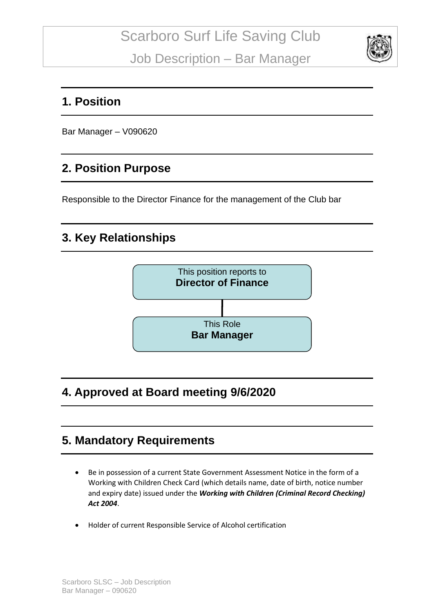

#### **1. Position**

Bar Manager – V090620

### **2. Position Purpose**

Responsible to the Director Finance for the management of the Club bar

## **3. Key Relationships**



## **4. Approved at Board meeting 9/6/2020**

### **5. Mandatory Requirements**

- Be in possession of a current State Government Assessment Notice in the form of a Working with Children Check Card (which details name, date of birth, notice number and expiry date) issued under the *Working with Children (Criminal Record Checking) Act 2004*.
- Holder of current Responsible Service of Alcohol certification